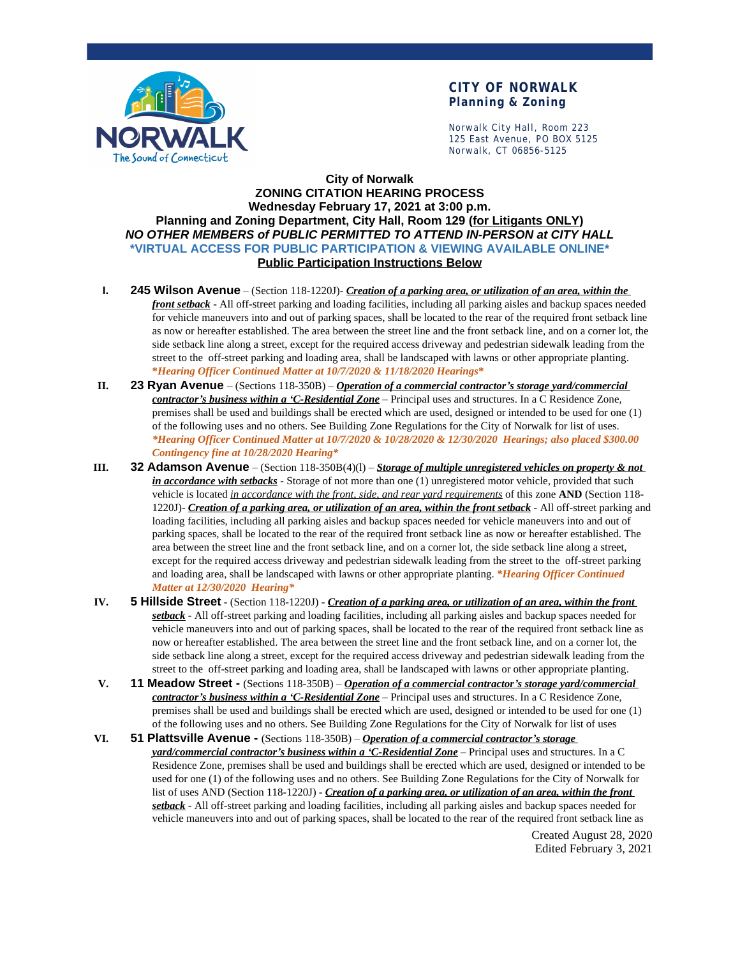

## **CITY OF NORWALK Planning & Zoning**

Norwalk City Hall, Room 223 125 East Avenue, PO BOX 5125 Norwalk, CT 06856-5125

## **City of Norwalk ZONING CITATION HEARING PROCESS Wednesday February 17, 2021 at 3:00 p.m. Planning and Zoning Department, City Hall, Room 129 (for Litigants ONLY)** *NO OTHER MEMBERS of PUBLIC PERMITTED TO ATTEND IN-PERSON at CITY HALL* **\*VIRTUAL ACCESS FOR PUBLIC PARTICIPATION & VIEWING AVAILABLE ONLINE\* Public Participation Instructions Below**

- **I. 245 Wilson Avenue** (Section 118-1220J)- *Creation of a parking area, or utilization of an area, within the front setback* - All off-street parking and loading facilities, including all parking aisles and backup spaces needed for vehicle maneuvers into and out of parking spaces, shall be located to the rear of the required front setback line as now or hereafter established. The area between the street line and the front setback line, and on a corner lot, the side setback line along a street, except for the required access driveway and pedestrian sidewalk leading from the street to the off-street parking and loading area, shall be landscaped with lawns or other appropriate planting. **\****Hearing Officer Continued Matter at 10/7/2020 & 11/18/2020 Hearings***\***
- **II. 23 Ryan Avenue**  (Sections 118-350B) *Operation of a commercial contractor's storage yard/commercial contractor's business within a 'C-Residential Zone* – Principal uses and structures. In a C Residence Zone, premises shall be used and buildings shall be erected which are used, designed or intended to be used for one (1) of the following uses and no others. See Building Zone Regulations for the City of Norwalk for list of uses. *\*Hearing Officer Continued Matter at 10/7/2020 & 10/28/2020 & 12/30/2020 Hearings; also placed \$300.00 Contingency fine at 10/28/2020 Hearing\**
- **III. 32 Adamson Avenue** (Section 118-350B(4)(l) *Storage of multiple unregistered vehicles on property & not in accordance with setbacks* - Storage of not more than one (1) unregistered motor vehicle, provided that such vehicle is located *in accordance with the front, side, and rear yard requirements* of this zone **AND** (Section 118- 1220J)- *Creation of a parking area, or utilization of an area, within the front setback* - All off-street parking and loading facilities, including all parking aisles and backup spaces needed for vehicle maneuvers into and out of parking spaces, shall be located to the rear of the required front setback line as now or hereafter established. The area between the street line and the front setback line, and on a corner lot, the side setback line along a street, except for the required access driveway and pedestrian sidewalk leading from the street to the off-street parking and loading area, shall be landscaped with lawns or other appropriate planting. *\*Hearing Officer Continued Matter at 12/30/2020 Hearing\**
- **IV. 5 Hillside Street** (Section 118-1220J) *Creation of a parking area, or utilization of an area, within the front setback* - All off-street parking and loading facilities, including all parking aisles and backup spaces needed for vehicle maneuvers into and out of parking spaces, shall be located to the rear of the required front setback line as now or hereafter established. The area between the street line and the front setback line, and on a corner lot, the side setback line along a street, except for the required access driveway and pedestrian sidewalk leading from the street to the off-street parking and loading area, shall be landscaped with lawns or other appropriate planting.
- **11 Meadow Street -** (Sections 118-350B) *Operation of a commercial contractor's storage yard/commercial contractor's business within a 'C-Residential Zone* – Principal uses and structures. In a C Residence Zone, premises shall be used and buildings shall be erected which are used, designed or intended to be used for one (1) of the following uses and no others. See Building Zone Regulations for the City of Norwalk for list of uses
- **VI. 51 Plattsville Avenue** (Sections 118-350B) *Operation of a commercial contractor's storage yard/commercial contractor's business within a 'C-Residential Zone* – Principal uses and structures. In a C Residence Zone, premises shall be used and buildings shall be erected which are used, designed or intended to be used for one (1) of the following uses and no others. See Building Zone Regulations for the City of Norwalk for list of uses AND (Section 118-1220J) - *Creation of a parking area, or utilization of an area, within the front setback* - All off-street parking and loading facilities, including all parking aisles and backup spaces needed for vehicle maneuvers into and out of parking spaces, shall be located to the rear of the required front setback line as

Created August 28, 2020 Edited February 3, 2021